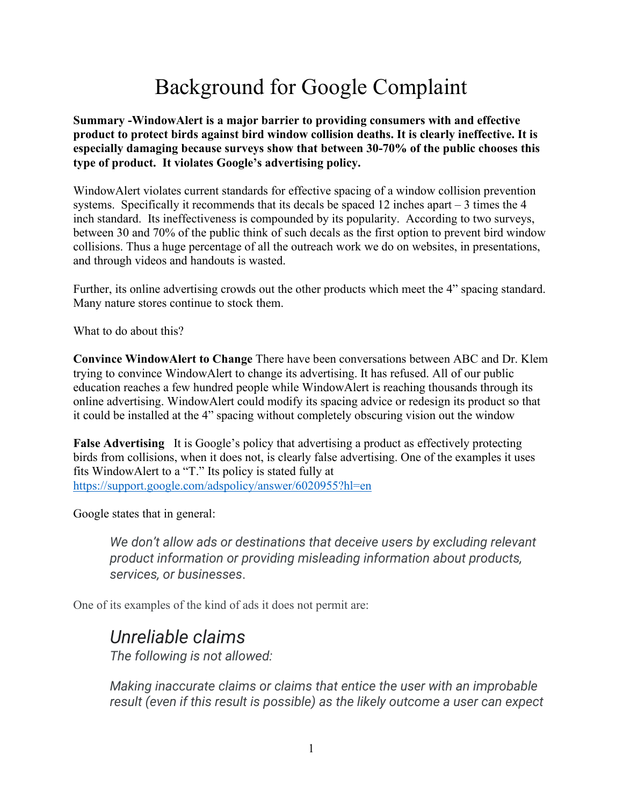## Background for Google Complaint

**Summary -WindowAlert is a major barrier to providing consumers with and effective product to protect birds against bird window collision deaths. It is clearly ineffective. It is especially damaging because surveys show that between 30-70% of the public chooses this type of product. It violates Google's advertising policy.**

WindowAlert violates current standards for effective spacing of a window collision prevention systems. Specifically it recommends that its decals be spaced 12 inches apart  $-3$  times the 4 inch standard. Its ineffectiveness is compounded by its popularity. According to two surveys, between 30 and 70% of the public think of such decals as the first option to prevent bird window collisions. Thus a huge percentage of all the outreach work we do on websites, in presentations, and through videos and handouts is wasted.

Further, its online advertising crowds out the other products which meet the 4" spacing standard. Many nature stores continue to stock them.

What to do about this?

**Convince WindowAlert to Change** There have been conversations between ABC and Dr. Klem trying to convince WindowAlert to change its advertising. It has refused. All of our public education reaches a few hundred people while WindowAlert is reaching thousands through its online advertising. WindowAlert could modify its spacing advice or redesign its product so that it could be installed at the 4" spacing without completely obscuring vision out the window

**False Advertising** It is Google's policy that advertising a product as effectively protecting birds from collisions, when it does not, is clearly false advertising. One of the examples it uses fits WindowAlert to a "T." Its policy is stated fully at <https://support.google.com/adspolicy/answer/6020955?hl=en>

Google states that in general:

*We don't allow ads or destinations that deceive users by excluding relevant product information or providing misleading information about products, services, or businesses*.

One of its examples of the kind of ads it does not permit are:

## *Unreliable claims*

*The following is not allowed:*

*Making inaccurate claims or claims that entice the user with an improbable result (even if this result is possible) as the likely outcome a user can expect*